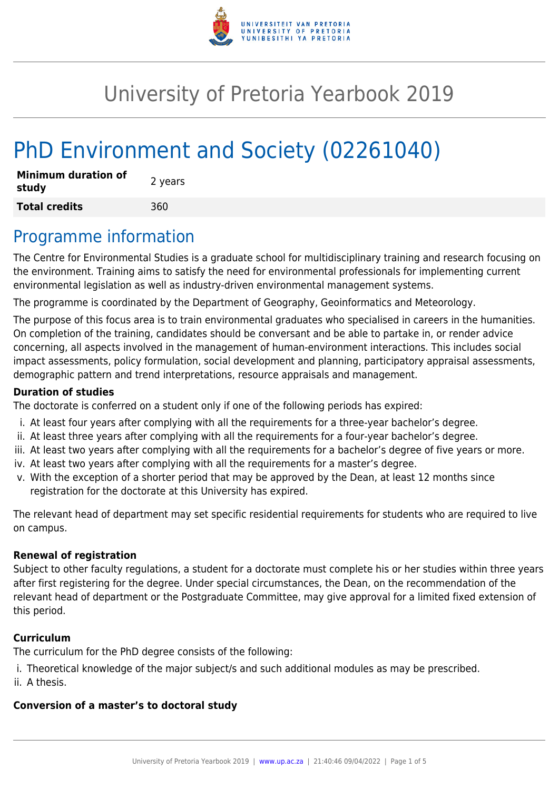

# University of Pretoria Yearbook 2019

# PhD Environment and Society (02261040)

| <b>Minimum duration of</b><br>study | 2 years |
|-------------------------------------|---------|
| <b>Total credits</b>                | 360     |

## Programme information

The Centre for Environmental Studies is a graduate school for multidisciplinary training and research focusing on the environment. Training aims to satisfy the need for environmental professionals for implementing current environmental legislation as well as industry-driven environmental management systems.

The programme is coordinated by the Department of Geography, Geoinformatics and Meteorology.

The purpose of this focus area is to train environmental graduates who specialised in careers in the humanities. On completion of the training, candidates should be conversant and be able to partake in, or render advice concerning, all aspects involved in the management of human-environment interactions. This includes social impact assessments, policy formulation, social development and planning, participatory appraisal assessments, demographic pattern and trend interpretations, resource appraisals and management.

#### **Duration of studies**

The doctorate is conferred on a student only if one of the following periods has expired:

- i. At least four years after complying with all the requirements for a three-year bachelor's degree.
- ii. At least three years after complying with all the requirements for a four-year bachelor's degree.
- iii. At least two years after complying with all the requirements for a bachelor's degree of five years or more.
- iv. At least two years after complying with all the requirements for a master's degree.
- v. With the exception of a shorter period that may be approved by the Dean, at least 12 months since registration for the doctorate at this University has expired.

The relevant head of department may set specific residential requirements for students who are required to live on campus.

#### **Renewal of registration**

Subject to other faculty regulations, a student for a doctorate must complete his or her studies within three years after first registering for the degree. Under special circumstances, the Dean, on the recommendation of the relevant head of department or the Postgraduate Committee, may give approval for a limited fixed extension of this period.

#### **Curriculum**

The curriculum for the PhD degree consists of the following:

- i. Theoretical knowledge of the major subject/s and such additional modules as may be prescribed.
- ii. A thesis.

### **Conversion of a master's to doctoral study**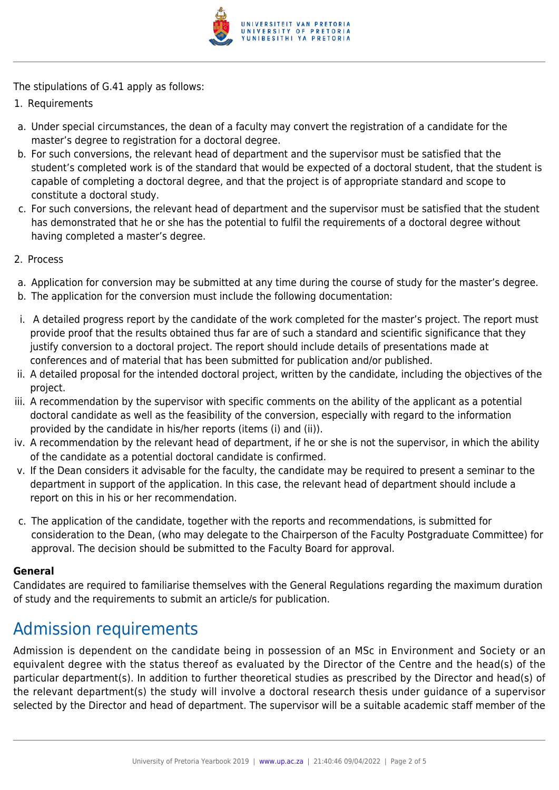

The stipulations of G.41 apply as follows:

- 1. Requirements
- a. Under special circumstances, the dean of a faculty may convert the registration of a candidate for the master's degree to registration for a doctoral degree.
- b. For such conversions, the relevant head of department and the supervisor must be satisfied that the student's completed work is of the standard that would be expected of a doctoral student, that the student is capable of completing a doctoral degree, and that the project is of appropriate standard and scope to constitute a doctoral study.
- c. For such conversions, the relevant head of department and the supervisor must be satisfied that the student has demonstrated that he or she has the potential to fulfil the requirements of a doctoral degree without having completed a master's degree.
- 2. Process
- a. Application for conversion may be submitted at any time during the course of study for the master's degree.
- b. The application for the conversion must include the following documentation:
- i. A detailed progress report by the candidate of the work completed for the master's project. The report must provide proof that the results obtained thus far are of such a standard and scientific significance that they justify conversion to a doctoral project. The report should include details of presentations made at conferences and of material that has been submitted for publication and/or published.
- ii. A detailed proposal for the intended doctoral project, written by the candidate, including the objectives of the project.
- iii. A recommendation by the supervisor with specific comments on the ability of the applicant as a potential doctoral candidate as well as the feasibility of the conversion, especially with regard to the information provided by the candidate in his/her reports (items (i) and (ii)).
- iv. A recommendation by the relevant head of department, if he or she is not the supervisor, in which the ability of the candidate as a potential doctoral candidate is confirmed.
- v. If the Dean considers it advisable for the faculty, the candidate may be required to present a seminar to the department in support of the application. In this case, the relevant head of department should include a report on this in his or her recommendation.
- c. The application of the candidate, together with the reports and recommendations, is submitted for consideration to the Dean, (who may delegate to the Chairperson of the Faculty Postgraduate Committee) for approval. The decision should be submitted to the Faculty Board for approval.

#### **General**

Candidates are required to familiarise themselves with the General Regulations regarding the maximum duration of study and the requirements to submit an article/s for publication.

# Admission requirements

Admission is dependent on the candidate being in possession of an MSc in Environment and Society or an equivalent degree with the status thereof as evaluated by the Director of the Centre and the head(s) of the particular department(s). In addition to further theoretical studies as prescribed by the Director and head(s) of the relevant department(s) the study will involve a doctoral research thesis under guidance of a supervisor selected by the Director and head of department. The supervisor will be a suitable academic staff member of the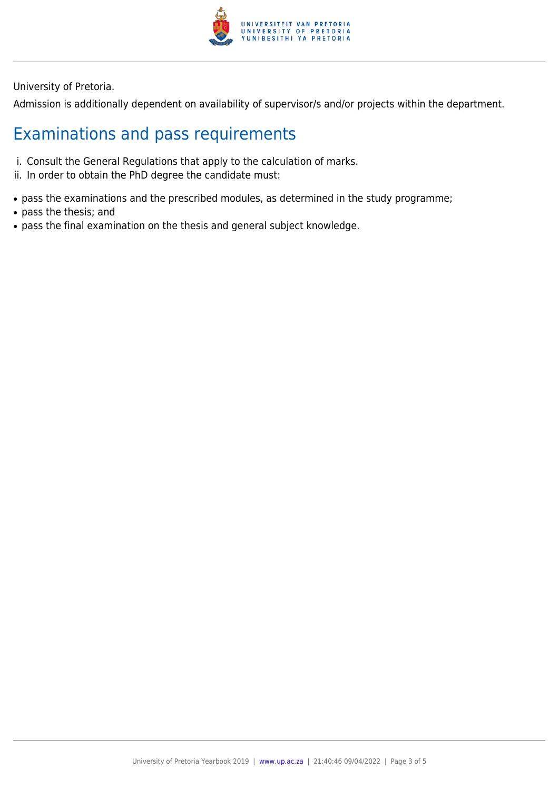

University of Pretoria.

Admission is additionally dependent on availability of supervisor/s and/or projects within the department.

# Examinations and pass requirements

- i. Consult the General Regulations that apply to the calculation of marks.
- ii. In order to obtain the PhD degree the candidate must:
- pass the examinations and the prescribed modules, as determined in the study programme;
- pass the thesis; and
- pass the final examination on the thesis and general subject knowledge.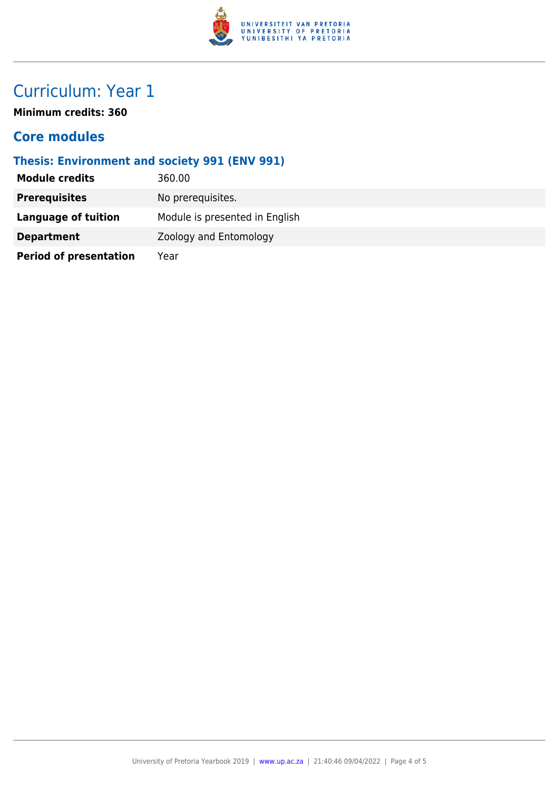

# Curriculum: Year 1

**Minimum credits: 360**

### **Core modules**

### **Thesis: Environment and society 991 (ENV 991)**

| <b>Module credits</b>         | 360.00                         |
|-------------------------------|--------------------------------|
| <b>Prerequisites</b>          | No prerequisites.              |
| Language of tuition           | Module is presented in English |
| <b>Department</b>             | Zoology and Entomology         |
| <b>Period of presentation</b> | Year                           |